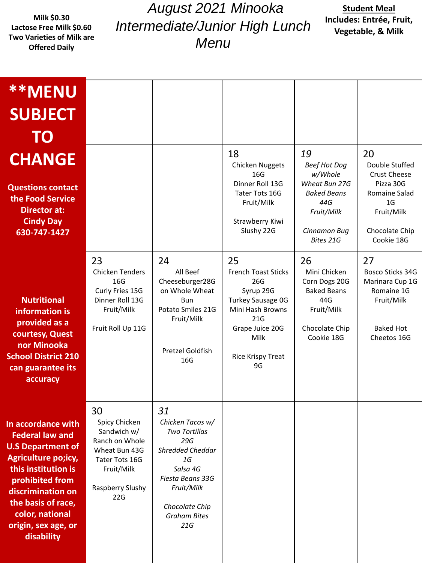**Milk \$0.30 Lactose Free Milk \$0.60 Two Varieties of Milk are Offered Daily**

*August 2021 Minooka Intermediate/Junior High Lunch Menu*

## **Student Meal Includes: Entrée, Fruit, Vegetable, & Milk**

| <b>**MENU</b><br><b>SUBJECT</b><br><b>TO</b>                                                                                                                                                                                                 |                                                                                                                                  |                                                                                                                                                                               |                                                                                                                                                                   |                                                                                                                               |                                                                                                                                           |
|----------------------------------------------------------------------------------------------------------------------------------------------------------------------------------------------------------------------------------------------|----------------------------------------------------------------------------------------------------------------------------------|-------------------------------------------------------------------------------------------------------------------------------------------------------------------------------|-------------------------------------------------------------------------------------------------------------------------------------------------------------------|-------------------------------------------------------------------------------------------------------------------------------|-------------------------------------------------------------------------------------------------------------------------------------------|
| <b>CHANGE</b><br><b>Questions contact</b><br>the Food Service<br><b>Director at:</b><br><b>Cindy Day</b><br>630-747-1427                                                                                                                     |                                                                                                                                  |                                                                                                                                                                               | 18<br><b>Chicken Nuggets</b><br>16G<br>Dinner Roll 13G<br>Tater Tots 16G<br>Fruit/Milk<br>Strawberry Kiwi<br>Slushy 22G                                           | 19<br><b>Beef Hot Dog</b><br>w/Whole<br>Wheat Bun 27G<br><b>Baked Beans</b><br>44G<br>Fruit/Milk<br>Cinnamon Bug<br>Bites 21G | 20<br>Double Stuffed<br><b>Crust Cheese</b><br>Pizza 30G<br>Romaine Salad<br>1 <sub>G</sub><br>Fruit/Milk<br>Chocolate Chip<br>Cookie 18G |
| <b>Nutritional</b><br>information is<br>provided as a<br>courtesy, Quest<br>nor Minooka<br><b>School District 210</b><br>can guarantee its<br>accuracy                                                                                       | 23<br><b>Chicken Tenders</b><br>16G<br>Curly Fries 15G<br>Dinner Roll 13G<br>Fruit/Milk<br>Fruit Roll Up 11G                     | 24<br>All Beef<br>Cheeseburger28G<br>on Whole Wheat<br><b>Bun</b><br>Potato Smiles 21G<br>Fruit/Milk<br>Pretzel Goldfish<br>16G                                               | 25<br><b>French Toast Sticks</b><br>26G<br>Syrup 29G<br><b>Turkey Sausage OG</b><br>Mini Hash Browns<br>21G<br>Grape Juice 20G<br>Milk<br>Rice Krispy Treat<br>9G | 26<br>Mini Chicken<br>Corn Dogs 20G<br><b>Baked Beans</b><br>44G<br>Fruit/Milk<br>Chocolate Chip<br>Cookie 18G                | 27<br>Bosco Sticks 34G<br>Marinara Cup 1G<br>Romaine 1G<br>Fruit/Milk<br><b>Baked Hot</b><br>Cheetos 16G                                  |
| In accordance with<br><b>Federal law and</b><br><b>U.S Department of</b><br>Agriculture po;icy,<br>this institution is<br>prohibited from<br>discrimination on<br>the basis of race,<br>color, national<br>origin, sex age, or<br>disability | 30<br>Spicy Chicken<br>Sandwich w/<br>Ranch on Whole<br>Wheat Bun 43G<br>Tater Tots 16G<br>Fruit/Milk<br>Raspberry Slushy<br>22G | 31<br>Chicken Tacos w/<br>Two Tortillas<br>29G<br><b>Shredded Cheddar</b><br>1G<br>Salsa 4G<br>Fiesta Beans 33G<br>Fruit/Milk<br>Chocolate Chip<br><b>Graham Bites</b><br>21G |                                                                                                                                                                   |                                                                                                                               |                                                                                                                                           |